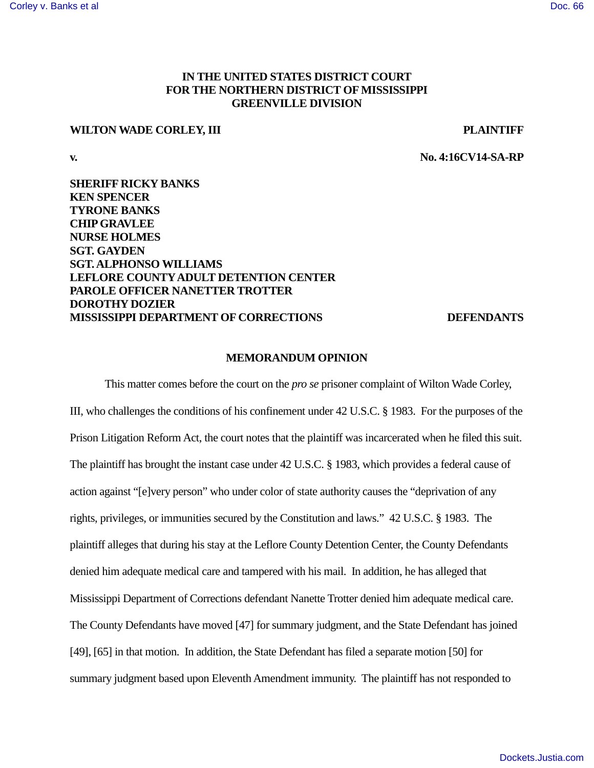# **IN THE UNITED STATES DISTRICT COURT FOR THE NORTHERN DISTRICT OF MISSISSIPPI GREENVILLE DIVISION**

# **WILTON WADE CORLEY, III PLAINTIFF**

**v. No. 4:16CV14-SA-RP**

**SHERIFF RICKY BANKS KEN SPENCER TYRONE BANKS CHIP GRAVLEE NURSE HOLMES SGT. GAYDEN SGT. ALPHONSO WILLIAMS LEFLORE COUNTY ADULT DETENTION CENTER PAROLE OFFICER NANETTER TROTTER DOROTHY DOZIER MISSISSIPPI DEPARTMENT OF CORRECTIONS DEFENDANTS**

## **MEMORANDUM OPINION**

This matter comes before the court on the *pro se* prisoner complaint of Wilton Wade Corley, III, who challenges the conditions of his confinement under 42 U.S.C. § 1983. For the purposes of the Prison Litigation Reform Act, the court notes that the plaintiff was incarcerated when he filed this suit. The plaintiff has brought the instant case under 42 U.S.C. § 1983, which provides a federal cause of action against "[e]very person" who under color of state authority causes the "deprivation of any rights, privileges, or immunities secured by the Constitution and laws." 42 U.S.C. § 1983. The plaintiff alleges that during his stay at the Leflore County Detention Center, the County Defendants denied him adequate medical care and tampered with his mail. In addition, he has alleged that Mississippi Department of Corrections defendant Nanette Trotter denied him adequate medical care. The County Defendants have moved [47] for summary judgment, and the State Defendant has joined [49], [65] in that motion. In addition, the State Defendant has filed a separate motion [50] for summary judgment based upon Eleventh Amendment immunity. The plaintiff has not responded to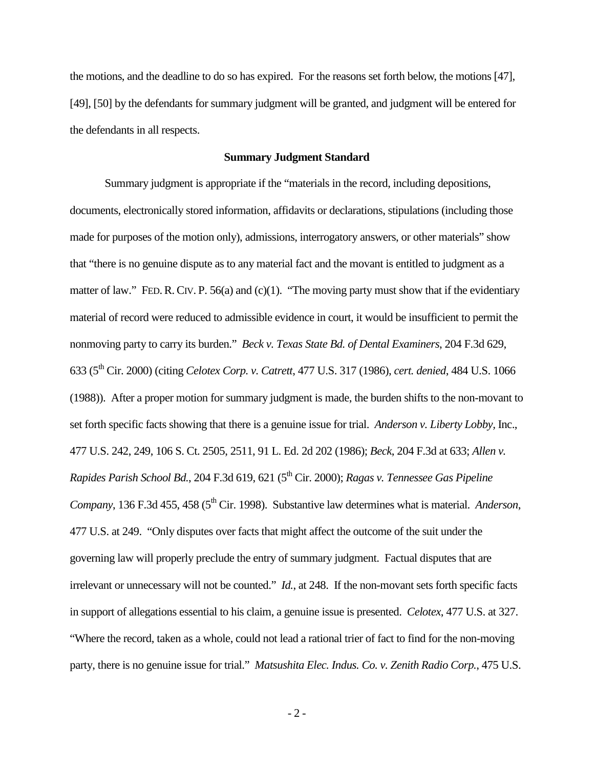the motions, and the deadline to do so has expired. For the reasons set forth below, the motions [47], [49], [50] by the defendants for summary judgment will be granted, and judgment will be entered for the defendants in all respects.

#### **Summary Judgment Standard**

Summary judgment is appropriate if the "materials in the record, including depositions, documents, electronically stored information, affidavits or declarations, stipulations (including those made for purposes of the motion only), admissions, interrogatory answers, or other materials" show that "there is no genuine dispute as to any material fact and the movant is entitled to judgment as a matter of law." FED. R. CIV. P. 56(a) and (c)(1). "The moving party must show that if the evidentiary material of record were reduced to admissible evidence in court, it would be insufficient to permit the nonmoving party to carry its burden." *Beck v. Texas State Bd. of Dental Examiners*, 204 F.3d 629, 633 (5th Cir. 2000) (citing *Celotex Corp. v. Catrett*, 477 U.S. 317 (1986), *cert. denied*, 484 U.S. 1066 (1988)). After a proper motion for summary judgment is made, the burden shifts to the non-movant to set forth specific facts showing that there is a genuine issue for trial. *Anderson v. Liberty Lobby,* Inc., 477 U.S. 242, 249, 106 S. Ct. 2505, 2511, 91 L. Ed. 2d 202 (1986); *Beck*, 204 F.3d at 633; *Allen v. Rapides Parish School Bd.*, 204 F.3d 619, 621 (5th Cir. 2000); *Ragas v. Tennessee Gas Pipeline Company*, 136 F.3d 455, 458 (5<sup>th</sup> Cir. 1998). Substantive law determines what is material. *Anderson*, 477 U.S. at 249. "Only disputes over facts that might affect the outcome of the suit under the governing law will properly preclude the entry of summary judgment. Factual disputes that are irrelevant or unnecessary will not be counted." *Id.*, at 248. If the non-movant sets forth specific facts in support of allegations essential to his claim, a genuine issue is presented. *Celotex*, 477 U.S. at 327. "Where the record, taken as a whole, could not lead a rational trier of fact to find for the non-moving party, there is no genuine issue for trial." *Matsushita Elec. Indus. Co. v. Zenith Radio Corp.*, 475 U.S.

- 2 -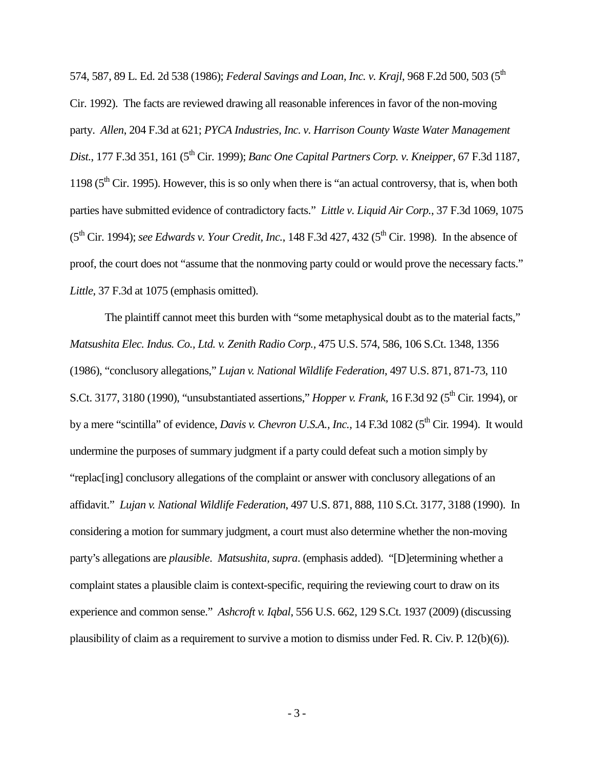574, 587, 89 L. Ed. 2d 538 (1986); *Federal Savings and Loan, Inc. v. Krajl*, 968 F.2d 500, 503 (5th Cir. 1992). The facts are reviewed drawing all reasonable inferences in favor of the non-moving party. *Allen*, 204 F.3d at 621; *PYCA Industries, Inc. v. Harrison County Waste Water Management Dist.*, 177 F.3d 351, 161 (5th Cir. 1999); *Banc One Capital Partners Corp. v. Kneipper*, 67 F.3d 1187, 1198 ( $5<sup>th</sup>$  Cir. 1995). However, this is so only when there is "an actual controversy, that is, when both parties have submitted evidence of contradictory facts." *Little v. Liquid Air Corp.*, 37 F.3d 1069, 1075  $(5<sup>th</sup> Cir. 1994)$ ; *see Edwards v. Your Credit, Inc.*, 148 F.3d 427, 432 ( $5<sup>th</sup> Cir. 1998$ ). In the absence of proof, the court does not "assume that the nonmoving party could or would prove the necessary facts." *Little*, 37 F.3d at 1075 (emphasis omitted).

The plaintiff cannot meet this burden with "some metaphysical doubt as to the material facts," *Matsushita [Elec. Indus. Co., Ltd. v. Zenith Radio Corp.,](http://www.westlaw.com/Find/Default.wl?rs=dfa1.0&vr=2.0&DB=708&FindType=Y&ReferencePositionType=S&SerialNum=1986115992&ReferencePosition=1356)* 475 U.S. 574, 586, 106 S.Ct. 1348, 1356 (1986), "conclusory allegations," *Lujan v. National Wildlife Federation*, 497 U.S. 871, 871-73, 110 S.Ct. 3177, 3180 (1990), "unsubstantiated assertions," *Hopper v. Frank*, 16 F.3d 92 (5<sup>th</sup> Cir. 1994), or by a mere "scintilla" of evidence, *Davis v. Chevron U.S.A., Inc.*, 14 F.3d 1082 (5<sup>th</sup> Cir. 1994). It would undermine the purposes of summary judgment if a party could defeat such a motion simply by "replac[ing] conclusory allegations of the complaint or answer with conclusory allegations of an affidavit." *Lujan v. National Wildlife Federation*, 497 U.S. 871, 888, 110 S.Ct. 3177, 3188 (1990). In considering a motion for summary judgment, a court must also determine whether the non-moving party's allegations are *plausible*. *Matsushita, supra*. (emphasis added). "[D]etermining whether a complaint states a plausible claim is context-specific, requiring the reviewing court to draw on its experience and common sense." *Ashcroft v. Iqbal*, 556 U.S. 662, 129 S.Ct. 1937 (2009) (discussing plausibility of claim as a requirement to survive a motion to dismiss under Fed. R. Civ. P. 12(b)(6)).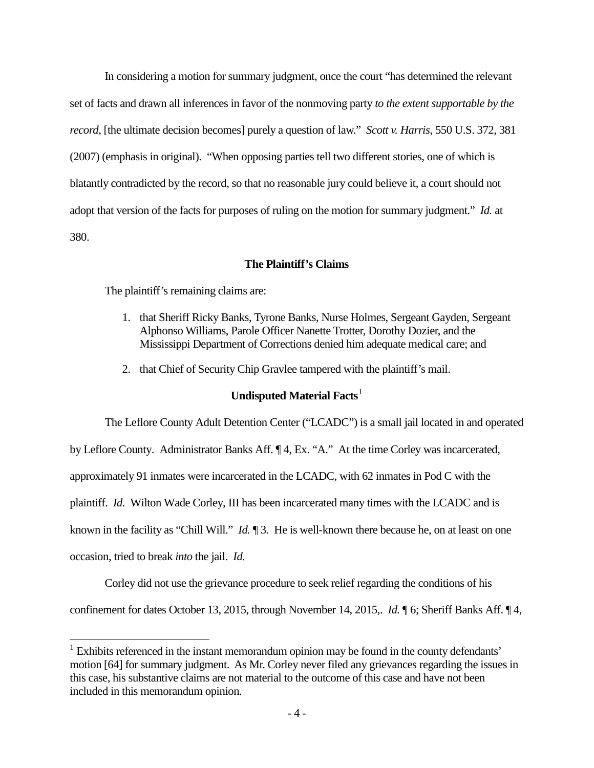In considering a motion for summary judgment, once the court "has determined the relevant set of facts and drawn all inferences in favor of the nonmoving party *to the extent supportable by the record*, [the ultimate decision becomes] purely a question of law." *Scott v. Harris*, 550 U.S. 372, 381 (2007) (emphasis in original). "When opposing parties tell two different stories, one of which is blatantly contradicted by the record, so that no reasonable jury could believe it, a court should not adopt that version of the facts for purposes of ruling on the motion for summary judgment." *Id.* at 380.

## **The Plaintiff's Claims**

The plaintiff's remaining claims are:

- 1. that Sheriff Ricky Banks, Tyrone Banks, Nurse Holmes, Sergeant Gayden, Sergeant Alphonso Williams, Parole Officer Nanette Trotter, Dorothy Dozier, and the Mississippi Department of Corrections denied him adequate medical care; and
- 2. that Chief of Security Chip Gravlee tampered with the plaintiff's mail.

# **Undisputed Material Facts**<sup>[1](#page-3-0)</sup>

The Leflore County Adult Detention Center ("LCADC") is a small jail located in and operated

by Leflore County. Administrator Banks Aff. ¶ 4, Ex. "A." At the time Corley was incarcerated,

approximately 91 inmates were incarcerated in the LCADC, with 62 inmates in Pod C with the

plaintiff. *Id.* Wilton Wade Corley, III has been incarcerated many times with the LCADC and is

known in the facility as "Chill Will." *Id.* ¶ 3. He is well-known there because he, on at least on one

occasion, tried to break *into* the jail. *Id.* 

 $\overline{a}$ 

Corley did not use the grievance procedure to seek relief regarding the conditions of his

confinement for dates October 13, 2015, through November 14, 2015,. *Id.* ¶ 6; Sheriff Banks Aff. ¶ 4,

<span id="page-3-0"></span> $1$  Exhibits referenced in the instant memorandum opinion may be found in the county defendants' motion [64] for summary judgment. As Mr. Corley never filed any grievances regarding the issues in this case, his substantive claims are not material to the outcome of this case and have not been included in this memorandum opinion.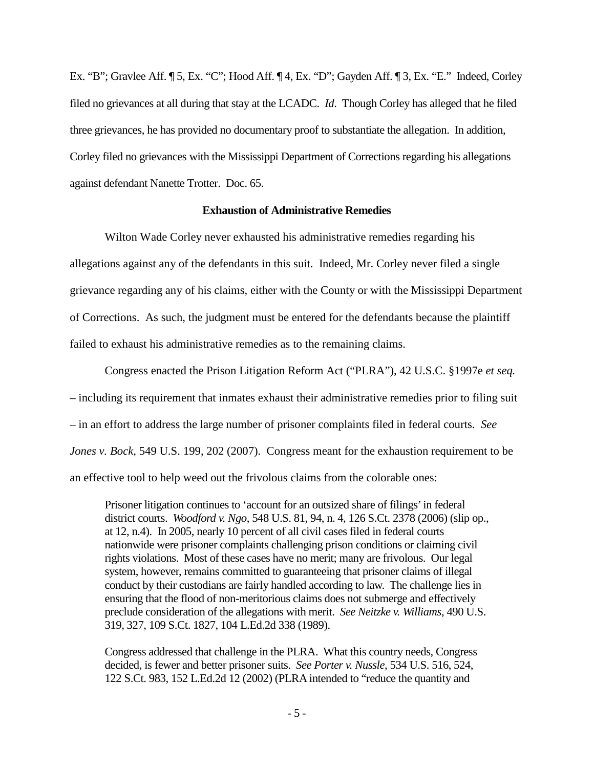Ex. "B"; Gravlee Aff. ¶ 5, Ex. "C"; Hood Aff. ¶ 4, Ex. "D"; Gayden Aff. ¶ 3, Ex. "E." Indeed, Corley filed no grievances at all during that stay at the LCADC. *Id*. Though Corley has alleged that he filed three grievances, he has provided no documentary proof to substantiate the allegation. In addition, Corley filed no grievances with the Mississippi Department of Corrections regarding his allegations against defendant Nanette Trotter. Doc. 65.

#### **Exhaustion of Administrative Remedies**

Wilton Wade Corley never exhausted his administrative remedies regarding his allegations against any of the defendants in this suit. Indeed, Mr. Corley never filed a single grievance regarding any of his claims, either with the County or with the Mississippi Department of Corrections. As such, the judgment must be entered for the defendants because the plaintiff failed to exhaust his administrative remedies as to the remaining claims.

Congress enacted the Prison Litigation Reform Act ("PLRA"), 42 U.S.C. §1997e *et seq.* – including its requirement that inmates exhaust their administrative remedies prior to filing suit – in an effort to address the large number of prisoner complaints filed in federal courts. *See Jones v. Bock*, 549 U.S. 199, 202 (2007). Congress meant for the exhaustion requirement to be an effective tool to help weed out the frivolous claims from the colorable ones:

Prisoner litigation continues to 'account for an outsized share of filings' in federal district courts. *Woodford v. Ngo*, 548 U.S. 81, 94, n. 4, 126 S.Ct. 2378 (2006) (slip op., at 12, n.4). In 2005, nearly 10 percent of all civil cases filed in federal courts nationwide were prisoner complaints challenging prison conditions or claiming civil rights violations. Most of these cases have no merit; many are frivolous. Our legal system, however, remains committed to guaranteeing that prisoner claims of illegal conduct by their custodians are fairly handled according to law. The challenge lies in ensuring that the flood of non-meritorious claims does not submerge and effectively preclude consideration of the allegations with merit. *See Neitzke v. Williams*, 490 U.S. 319, 327, 109 S.Ct. 1827, 104 L.Ed.2d 338 (1989).

Congress addressed that challenge in the PLRA. What this country needs, Congress decided, is fewer and better prisoner suits. *See Porter v. Nussle*, 534 U.S. 516, 524, 122 S.Ct. 983, 152 L.Ed.2d 12 (2002) (PLRA intended to "reduce the quantity and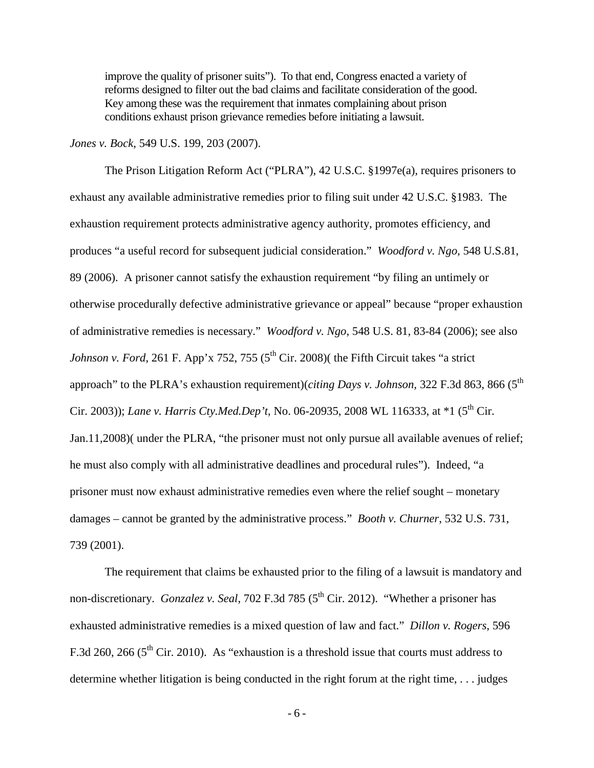improve the quality of prisoner suits"). To that end, Congress enacted a variety of reforms designed to filter out the bad claims and facilitate consideration of the good. Key among these was the requirement that inmates complaining about prison conditions exhaust prison grievance remedies before initiating a lawsuit.

*Jones v. Bock*, 549 U.S. 199, 203 (2007).

The Prison Litigation Reform Act ("PLRA"), 42 U.S.C. §1997e(a), requires prisoners to exhaust any available administrative remedies prior to filing suit under 42 U.S.C. §1983. The exhaustion requirement protects administrative agency authority, promotes efficiency, and produces "a useful record for subsequent judicial consideration." *Woodford v. Ngo*, 548 U.S.81, 89 (2006). A prisoner cannot satisfy the exhaustion requirement "by filing an untimely or otherwise procedurally defective administrative grievance or appeal" because "proper exhaustion of administrative remedies is necessary." *Woodford v. Ngo*, 548 U.S. 81, 83-84 (2006); see also *Johnson v. Ford*, 261 F. App'x 752, 755 (5<sup>th</sup> Cir. 2008)( the Fifth Circuit takes "a strict approach" to the PLRA's exhaustion requirement)(*citing Days v. Johnson*, 322 F.3d 863, 866 (5<sup>th</sup>) Cir. 2003)); *Lane v. Harris Cty.Med.Dep't*, No. 06-20935, 2008 WL 116333, at \*1 (5<sup>th</sup> Cir. Jan.11,2008)( under the PLRA, "the prisoner must not only pursue all available avenues of relief; he must also comply with all administrative deadlines and procedural rules"). Indeed, "a prisoner must now exhaust administrative remedies even where the relief sought – monetary damages – cannot be granted by the administrative process." *Booth v. Churner*, 532 U.S. 731, 739 (2001).

 The requirement that claims be exhausted prior to the filing of a lawsuit is mandatory and non-discretionary. *Gonzalez v. Seal*, 702 F.3d 785 (5<sup>th</sup> Cir. 2012). "Whether a prisoner has exhausted administrative remedies is a mixed question of law and fact." *Dillon v. Rogers*, 596 F.3d 260, 266 ( $5<sup>th</sup>$  Cir. 2010). As "exhaustion is a threshold issue that courts must address to determine whether litigation is being conducted in the right forum at the right time, . . . judges

- 6 -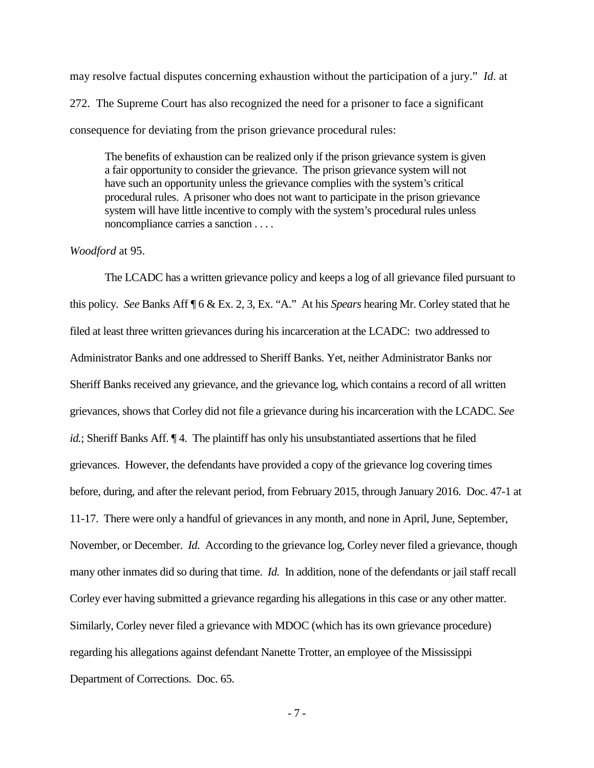may resolve factual disputes concerning exhaustion without the participation of a jury." *Id*. at 272. The Supreme Court has also recognized the need for a prisoner to face a significant consequence for deviating from the prison grievance procedural rules:

The benefits of exhaustion can be realized only if the prison grievance system is given a fair opportunity to consider the grievance. The prison grievance system will not have such an opportunity unless the grievance complies with the system's critical procedural rules. A prisoner who does not want to participate in the prison grievance system will have little incentive to comply with the system's procedural rules unless noncompliance carries a sanction . . . .

#### *Woodford* at 95.

The LCADC has a written grievance policy and keeps a log of all grievance filed pursuant to this policy. *See* Banks Aff ¶ 6 & Ex. 2, 3, Ex. "A." At his *Spears* hearing Mr. Corley stated that he filed at least three written grievances during his incarceration at the LCADC: two addressed to Administrator Banks and one addressed to Sheriff Banks. Yet, neither Administrator Banks nor Sheriff Banks received any grievance, and the grievance log, which contains a record of all written grievances, shows that Corley did not file a grievance during his incarceration with the LCADC. *See id.*; Sheriff Banks Aff. 14. The plaintiff has only his unsubstantiated assertions that he filed grievances. However, the defendants have provided a copy of the grievance log covering times before, during, and after the relevant period, from February 2015, through January 2016. Doc. 47-1 at 11-17. There were only a handful of grievances in any month, and none in April, June, September, November, or December. *Id*. According to the grievance log, Corley never filed a grievance, though many other inmates did so during that time. *Id.* In addition, none of the defendants or jail staff recall Corley ever having submitted a grievance regarding his allegations in this case or any other matter. Similarly, Corley never filed a grievance with MDOC (which has its own grievance procedure) regarding his allegations against defendant Nanette Trotter, an employee of the Mississippi Department of Corrections. Doc. 65.